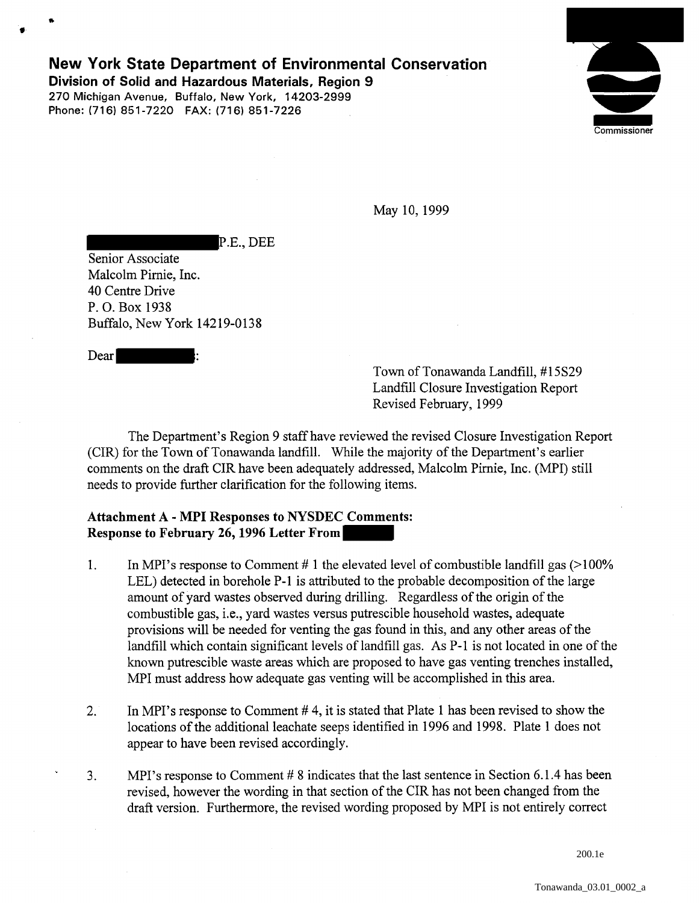# New York State Department of Environmental Conservation

Division of Solid and Hazardous Materials, Region 9 270 Michigan Avenue, Buffalo, New York, 14203-2999 Phone: (716) 851-7220 FAX: (716) 851-7226



May 10, 1999

P.E., DEE

Senior Associate Malcolm Pimie, Inc. 40 Centre Drive P. 0. Box 1938 Buffalo, New York 14219-0138

Dear

Town of Tonawanda Landfill, #15S29 Landfill Closure Investigation Report Revised February, 1999

The Department's Region 9 staff have reviewed the revised Closure Investigation Report (CIR) for the Town of Tonawanda landfill. While the majority of the Department's earlier comments on the draft CIR have been adequately addressed, Malcolm Pimie, Inc. (MPI) still needs to provide further clarification for the following items.

# Attachment A - MPI Responses to NYSDEC Comments: Response to February 26, 1996 Letter From

- 1. In MPI's response to Comment # 1 the elevated level of combustible landfill gas  $(>100\%)$ LEL) detected in borehole P-1 is attributed to the probable decomposition of the large amount of yard wastes observed during drilling. Regardless of the origin of the combustible gas, i.e., yard wastes versus putrescible household wastes, adequate provisions will be needed for venting the gas found in this, and any other areas of the landfill which contain significant levels of landfill gas. As P-1 is not located in one of the known putrescible waste areas which are proposed to have gas venting trenches installed, MPI must address how adequate gas venting will be accomplished in this area.
- 2. In MPI's response to Comment # 4, it is stated that Plate 1 has been revised to show the locations of the additional leachate seeps identified in 1996 and 1998. Plate 1 does not appear to have been revised accordingly.
- 3. MPI's response to Comment # 8 indicates that the last sentence in Section 6.1.4 has been revised, however the wording in that section of the CIR has not been changed from the draft version. Furthermore, the revised wording proposed by MPI is not entirely correct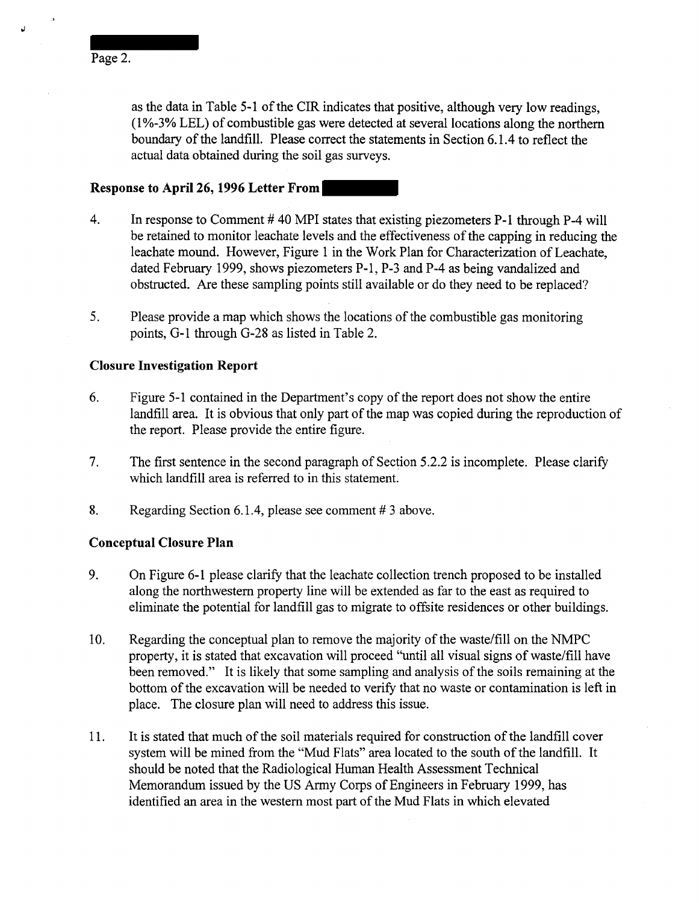as the data in Table 5-1 of the CIR indicates that positive, although very low readings, (1 %-3% LEL) of combustible gas were detected at several locations along the northern boundary of the landfill. Please correct the statements in Section 6.1.4 to reflect the actual data obtained during the soil gas surveys.

### **Response to April26, 1996 Letter From**

- 4. In response to Comment #40 MPI states that existing piezometers P-1 through P-4 will be retained to monitor leachate levels and the effectiveness of the capping in reducing the leachate mound. However, Figure 1 in the Work Plan for Characterization of Leachate, dated February 1999, shows piezometers P-1, P-3 and P-4 as being vandalized and obstructed. Are these sampling points still available or do they need to be replaced?
- 5. Please provide a map which shows the locations of the combustible gas monitoring points, G-1 through G-28 as listed in Table 2.

## **Closure Investigation Report**

- 6. Figure 5-1 contained in the Department's copy of the report does not show the entire landfill area. It is obvious that only part of the map was copied during the reproduction of the report. Please provide the entire figure.
- 7. The first sentence in the second paragraph of Section 5 .2.2 is incomplete. Please clarify which landfill area is referred to in this statement.
- 8. Regarding Section 6.1.4, please see comment # 3 above.

#### **Conceptual Closure Plan**

- 9. On Figure 6-1 please clarify that the leachate collection trench proposed to be installed along the northwestern property line will be extended as far to the east as required to eliminate the potential for landfill gas to migrate to offsite residences or other buildings.
- 10. Regarding the conceptual plan to remove the majority of the waste/fill on the NMPC property, it is stated that excavation will proceed "until all visual signs of waste/fill have been removed." It is likely that some sampling and analysis of the soils remaining at the bottom of the excavation will be needed to verify that no waste or contamination is left in place. The closure plan will need to address this issue.
- 11. It is stated that much of the soil materials required for construction of the landfill cover system will be mined from the "Mud Flats" area located to the south of the landfill. It should be noted that the Radiological Human Health Assessment Technical Memorandum issued by the US Army Corps of Engineers in February 1999, has identified an area in the western most part of the Mud Flats in which elevated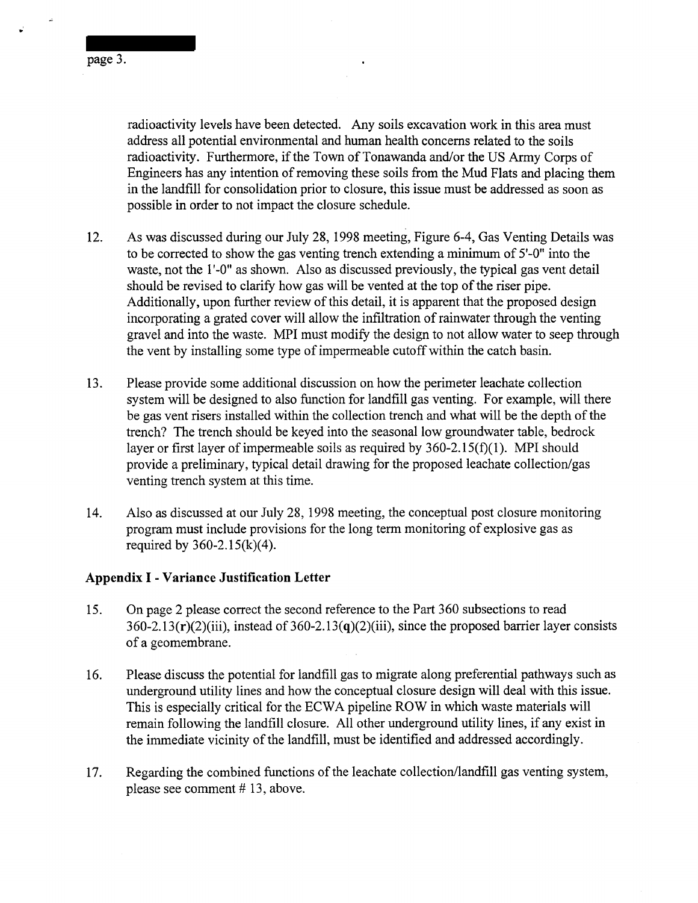page 3.

radioactivity levels have been detected. Any soils excavation work in this area must address all potential environmental and human health concerns related to the soils radioactivity. Furthermore, if the Town of Tonawanda and/or the US Army Corps of Engineers has any intention of removing these soils from the Mud Flats and placing them in the landfill for consolidation prior to closure, this issue must be addressed as soon as possible in order to not impact the closure schedule.

- 12. As was discussed during our July 28, 1998 meeting, Figure 6-4, Gas Venting Details was to be corrected to show the gas venting trench extending a minimum of 5'-0" into the waste, not the 1'-0" as shown. Also as discussed previously, the typical gas vent detail should be revised to clarify how gas will be vented at the top of the riser pipe. Additionally, upon further review of this detail, it is apparent that the proposed design incorporating a grated cover will allow the infiltration of rainwater through the venting gravel and into the waste. MPI must modify the design to not allow water to seep through the vent by installing some type of impermeable cutoff within the catch basin.
- 13. Please provide some additional discussion on how the perimeter leachate collection system will be designed to also function for landfill gas venting. For example, will there be gas vent risers installed within the collection trench and what will be the depth of the trench? The trench should be keyed into the seasonal low groundwater table, bedrock layer or first layer of impermeable soils as required by  $360-2.15(f)(1)$ . MPI should provide a preliminary, typical detail drawing for the proposed leachate collection/gas venting trench system at this time.
- 14. Also as discussed at our July 28, 1998 meeting, the conceptual post closure monitoring program must include provisions for the long term monitoring of explosive gas as required by  $360 - 2.15(k)(4)$ .

# **Appendix I- Variance Justification Letter**

- 15. On page 2 please correct the second reference to the Part 360 subsections to read  $360-2.13(r)(2)(iii)$ , instead of  $360-2.13(q)(2)(iii)$ , since the proposed barrier layer consists of a geomembrane.
- 16. Please discuss the potential for landfill gas to migrate along preferential pathways such as underground utility lines and how the conceptual closure design will deal with this issue. This is especially critical for the ECWA pipeline ROW in which waste materials will remain following the landfill closure. All other underground utility lines, if any exist in the immediate vicinity of the landfill, must be identified and addressed accordingly.
- 17. Regarding the combined functions of the leachate collection/landfill gas venting system, please see comment  $# 13$ , above.